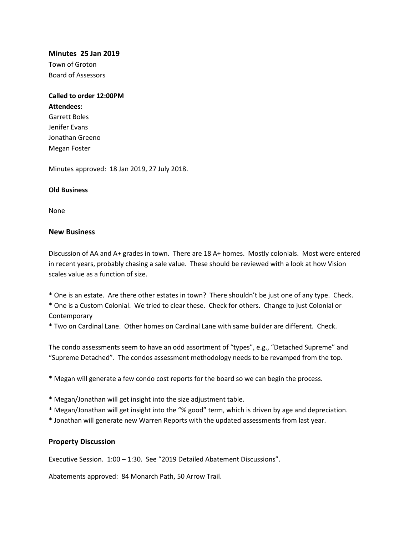### **Minutes 25 Jan 2019**

Town of Groton Board of Assessors

# **Called to order 12:00PM Attendees:** Garrett Boles Jenifer Evans Jonathan Greeno

Minutes approved: 18 Jan 2019, 27 July 2018.

### **Old Business**

Megan Foster

None

### **New Business**

Discussion of AA and A+ grades in town. There are 18 A+ homes. Mostly colonials. Most were entered in recent years, probably chasing a sale value. These should be reviewed with a look at how Vision scales value as a function of size.

\* One is an estate. Are there other estates in town? There shouldn't be just one of any type. Check. \* One is a Custom Colonial. We tried to clear these. Check for others. Change to just Colonial or

**Contemporary** 

\* Two on Cardinal Lane. Other homes on Cardinal Lane with same builder are different. Check.

The condo assessments seem to have an odd assortment of "types", e.g., "Detached Supreme" and "Supreme Detached". The condos assessment methodology needs to be revamped from the top.

\* Megan will generate a few condo cost reports for the board so we can begin the process.

- \* Megan/Jonathan will get insight into the size adjustment table.
- \* Megan/Jonathan will get insight into the "% good" term, which is driven by age and depreciation.
- \* Jonathan will generate new Warren Reports with the updated assessments from last year.

### **Property Discussion**

Executive Session. 1:00 – 1:30. See "2019 Detailed Abatement Discussions".

Abatements approved: 84 Monarch Path, 50 Arrow Trail.